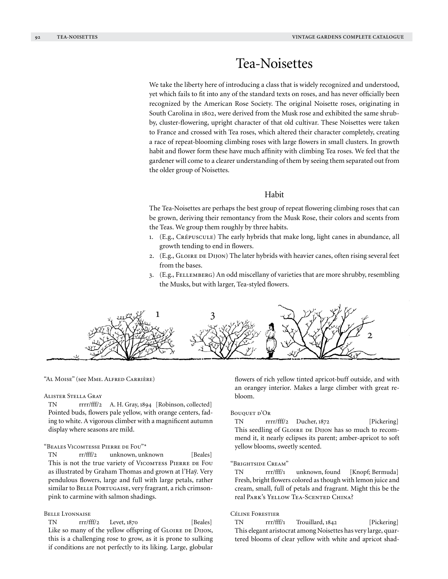# Tea-Noisettes

We take the liberty here of introducing a class that is widely recognized and understood, yet which fails to fit into any of the standard texts on roses, and has never officially been recognized by the American Rose Society. The original Noisette roses, originating in South Carolina in 1802, were derived from the Musk rose and exhibited the same shrubby, cluster-flowering, upright character of that old cultivar. These Noisettes were taken to France and crossed with Tea roses, which altered their character completely, creating a race of repeat-blooming climbing roses with large flowers in small clusters. In growth habit and flower form these have much affinity with climbing Tea roses. We feel that the gardener will come to a clearer understanding of them by seeing them separated out from the older group of Noisettes.

# Habit

The Tea-Noisettes are perhaps the best group of repeat flowering climbing roses that can be grown, deriving their remontancy from the Musk Rose, their colors and scents from the Teas. We group them roughly by three habits.

- 1. (E.g., Crépuscule) The early hybrids that make long, light canes in abundance, all growth tending to end in flowers.
- 2. (E.g., GLOIRE DE DIJON) The later hybrids with heavier canes, often rising several feet from the bases.
- 3. (E.g., Fellemberg) An odd miscellany of varieties that are more shrubby, resembling the Musks, but with larger, Tea-styled flowers.



## "Al Moise" (see Mme. Alfred Carrière)

### Alister Stella Gray

TN rrrr/fff/2 A. H. Gray, 1894 [Robinson, collected] Pointed buds, flowers pale yellow, with orange centers, fading to white. A vigorous climber with a magnificent autumn display where seasons are mild.

### "Beales Vicomtesse Pierre de Fou"\*

TN rr/fff/2 unknown, unknown [Beales] This is not the true variety of VICOMTESS PIERRE DE FOU as illustrated by Graham Thomas and grown at l'Haÿ. Very pendulous flowers, large and full with large petals, rather similar to BELLE PORTUGAISE, very fragrant, a rich crimsonpink to carmine with salmon shadings.

### Belle Lyonnaise

TN rrr/fff/2 Levet, 1870 [Beales] Like so many of the yellow offspring of GLOIRE DE DIJON, this is a challenging rose to grow, as it is prone to sulking if conditions are not perfectly to its liking. Large, globular flowers of rich yellow tinted apricot-buff outside, and with an orangey interior. Makes a large climber with great rebloom.

### BOUQUET D'OR

TN rrrr/fff/2 Ducher, 1872 [Pickering] This seedling of GLOIRE DE DIJON has so much to recommend it, it nearly eclipses its parent; amber-apricot to soft yellow blooms, sweetly scented.

### "Brightside Cream"

TN rrr/fff/1 unknown, found [Knopf; Bermuda] Fresh, bright flowers colored as though with lemon juice and cream, small, full of petals and fragrant. Might this be the real Park's Yellow Tea-Scented China?

### Céline Forestier

TN rrr/fff/1 Trouillard, 1842 [Pickering] This elegant aristocrat among Noisettes has very large, quartered blooms of clear yellow with white and apricot shad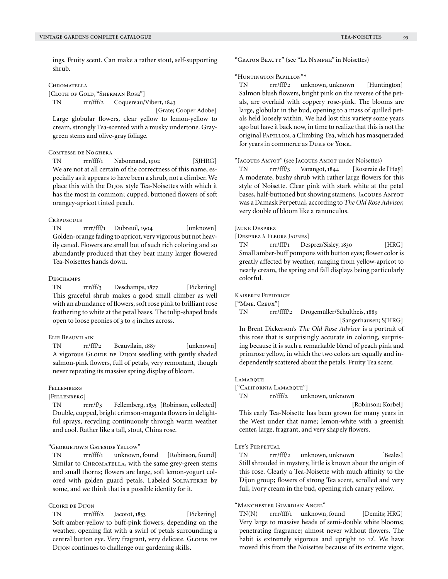ings. Fruity scent. Can make a rather stout, self-supporting shrub.

### **CHROMATELLA**

[CLOTH OF GOLD, "SHERMAN ROSE"]

TN rrr/fff/2 Coquereau/Vibert, 1843

 [Grate; Cooper Adobe] Large globular flowers, clear yellow to lemon-yellow to cream, strongly Tea-scented with a musky undertone. Graygreen stems and olive-gray foliage.

## Comtesse de Noghera

TN rrr/fff/1 Nabonnand, 1902 [SJHRG] We are not at all certain of the correctness of this name, especially as it appears to have been a shrub, not a climber. We place this with the Dijon style Tea-Noisettes with which it has the most in common; cupped, buttoned flowers of soft orangey-apricot tinted peach.

### **CRÉPUSCULE**

TN rrrr/fff/1 Dubreuil, 1904 [unknown] Golden-orange fading to apricot, very vigorous but not heavily caned. Flowers are small but of such rich coloring and so abundantly produced that they beat many larger flowered Tea-Noisettes hands down.

## DESCHAMPS

TN rrr/ff/3 Deschamps, 1877 [Pickering] This graceful shrub makes a good small climber as well with an abundance of flowers, soft rose pink to brilliant rose feathering to white at the petal bases. The tulip-shaped buds open to loose peonies of 3 to 4 inches across.

# Elie Beauvilain

TN rr/fff/2 Beauvilain, 1887 [unknown] A vigorous GLOIRE DE DIJON seedling with gently shaded salmon-pink flowers, full of petals, very remontant, though never repeating its massive spring display of bloom.

### Fellemberg

[Fellenberg]

TN rrrr/f/3 Fellemberg, 1835 [Robinson, collected] Double, cupped, bright crimson-magenta flowers in delightful sprays, recycling continuously through warm weather and cool. Rather like a tall, stout, China rose.

# "Georgetown Gateside Yellow"

TN rrr/fff/1 unknown, found [Robinson, found] Similar to CHROMATELLA, with the same grey-green stems and small thorns; flowers are large, soft lemon-yogurt colored with golden guard petals. Labeled SOLFATERRE by some, and we think that is a possible identity for it.

## Gloire de Dijon

TN rrr/fff/2 Jacotot, 1853 [Pickering] Soft amber-yellow to buff-pink flowers, depending on the weather, opening flat with a swirl of petals surrounding a central button eye. Very fragrant, very delicate. GLOIRE DE Dijon continues to challenge our gardening skills.

"Graton Beauty" (see "La Nymphe" in Noisettes)

### "Huntington Papillon"\*

TN rrr/fff/2 unknown, unknown [Huntington] Salmon blush flowers, bright pink on the reverse of the petals, are overlaid with coppery rose-pink. The blooms are large, globular in the bud, opening to a mass of quilled petals held loosely within. We had lost this variety some years ago but have it back now, in time to realize that this is not the original PAPILLON, a Climbing Tea, which has masqueraded for years in commerce as DUKE OF YORK.

### "Jacques Amyot" (see Jacques Amiot under Noisettes)

TN rrr/fff/3 Varangot, 1844 [Roseraie de l'Haÿ] A moderate, bushy shrub with rather large flowers for this style of Noisette. Clear pink with stark white at the petal bases, half-buttoned but showing stamens. Jacques Amyot was a Damask Perpetual, according to *The Old Rose Advisor,* very double of bloom like a ranunculus.

### Jaune Desprez

[Desprez à Fleurs Jaunes]

TN rrr/fff/1 Desprez/Sisley, 1830 [HRG] Small amber-buff pompons with button eyes; flower color is greatly affected by weather, ranging from yellow-apricot to nearly cream, the spring and fall displays being particularly colorful.

### Kaiserin Freidrich

["Mme. Creux"]

TN rrr/ffff/2 Drögemüller/Schultheis, 1889

dependently scattered about the petals. Fruity Tea scent.

 [Sangerhausen; SJHRG] In Brent Dickerson's *The Old Rose Advisor* is a portrait of this rose that is surprisingly accurate in coloring, surprising because it is such a remarkable blend of peach pink and primrose yellow, in which the two colors are equally and in-

#### **LAMARQUE**

["California Lamarque"]

TN rr/fff/2 unknown, unknown

[Robinson; Korbel]

This early Tea-Noisette has been grown for many years in the West under that name; lemon-white with a greenish center, large, fragrant, and very shapely flowers.

### LEY'S PERPETUAL

TN rrr/fff/2 unknown, unknown [Beales] Still shrouded in mystery, little is known about the origin of this rose. Clearly a Tea-Noisette with much affinity to the Dijon group; flowers of strong Tea scent, scrolled and very full, ivory cream in the bud, opening rich canary yellow.

# "Manchester Guardian Angel"

TN(N) rrrr/fff/1 unknown, found [Demits; HRG] Very large to massive heads of semi-double white blooms; penetrating fragrance; almost never without flowers. The habit is extremely vigorous and upright to 12'. We have moved this from the Noisettes because of its extreme vigor,